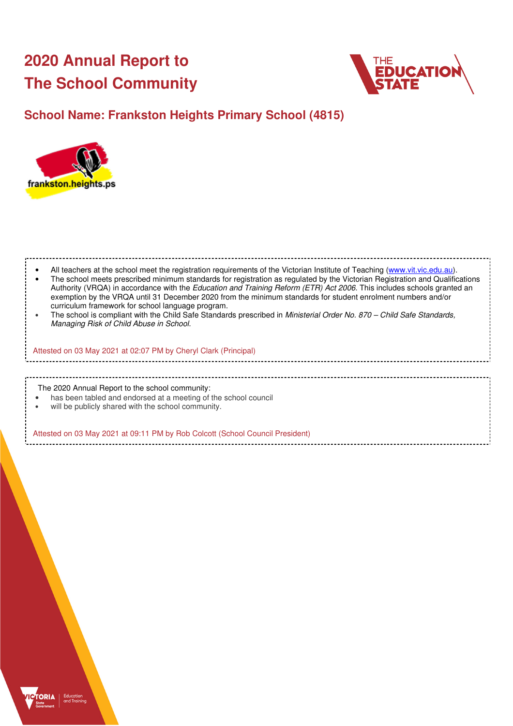# **2020 Annual Report to The School Community**



## **School Name: Frankston Heights Primary School (4815)**



| All teachers at the school meet the registration requirements of the Victorian Institute of Teaching (www.vit.vic.edu.au).<br>The school meets prescribed minimum standards for registration as regulated by the Victorian Registration and Qualifications<br>Authority (VRQA) in accordance with the Education and Training Reform (ETR) Act 2006. This includes schools granted an<br>exemption by the VRQA until 31 December 2020 from the minimum standards for student enrolment numbers and/or<br>curriculum framework for school language program.<br>The school is compliant with the Child Safe Standards prescribed in Ministerial Order No. 870 - Child Safe Standards,<br>Managing Risk of Child Abuse in School. |  |
|-------------------------------------------------------------------------------------------------------------------------------------------------------------------------------------------------------------------------------------------------------------------------------------------------------------------------------------------------------------------------------------------------------------------------------------------------------------------------------------------------------------------------------------------------------------------------------------------------------------------------------------------------------------------------------------------------------------------------------|--|
| Attested on 03 May 2021 at 02:07 PM by Cheryl Clark (Principal)                                                                                                                                                                                                                                                                                                                                                                                                                                                                                                                                                                                                                                                               |  |
|                                                                                                                                                                                                                                                                                                                                                                                                                                                                                                                                                                                                                                                                                                                               |  |
| The 2020 Annual Report to the school community:<br>has been tabled and endorsed at a meeting of the school council<br>will be publicly shared with the school community.                                                                                                                                                                                                                                                                                                                                                                                                                                                                                                                                                      |  |
| Attested on 03 May 2021 at 09:11 PM by Rob Colcott (School Council President)                                                                                                                                                                                                                                                                                                                                                                                                                                                                                                                                                                                                                                                 |  |

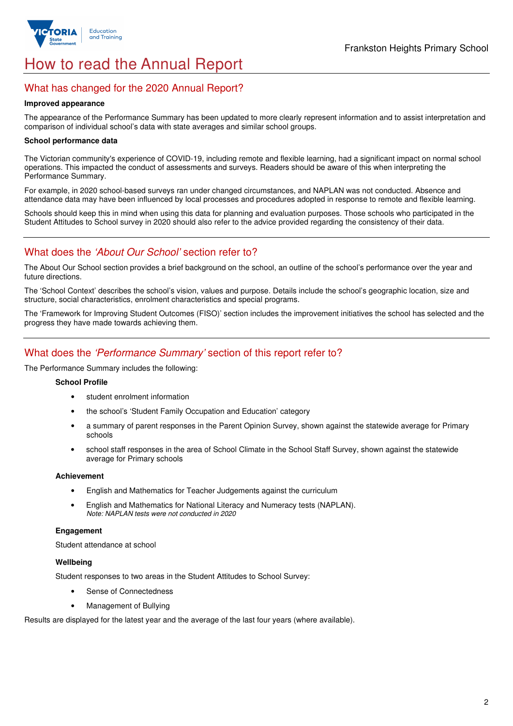

## How to read the Annual Report

## What has changed for the 2020 Annual Report?

#### **Improved appearance**

The appearance of the Performance Summary has been updated to more clearly represent information and to assist interpretation and comparison of individual school's data with state averages and similar school groups.

#### **School performance data**

The Victorian community's experience of COVID-19, including remote and flexible learning, had a significant impact on normal school operations. This impacted the conduct of assessments and surveys. Readers should be aware of this when interpreting the Performance Summary.

For example, in 2020 school-based surveys ran under changed circumstances, and NAPLAN was not conducted. Absence and attendance data may have been influenced by local processes and procedures adopted in response to remote and flexible learning.

Schools should keep this in mind when using this data for planning and evaluation purposes. Those schools who participated in the Student Attitudes to School survey in 2020 should also refer to the advice provided regarding the consistency of their data.

## What does the *'About Our School'* section refer to?

The About Our School section provides a brief background on the school, an outline of the school's performance over the year and future directions.

The 'School Context' describes the school's vision, values and purpose. Details include the school's geographic location, size and structure, social characteristics, enrolment characteristics and special programs.

The 'Framework for Improving Student Outcomes (FISO)' section includes the improvement initiatives the school has selected and the progress they have made towards achieving them.

## What does the 'Performance Summary' section of this report refer to?

The Performance Summary includes the following:

#### **School Profile**

- student enrolment information
- the school's 'Student Family Occupation and Education' category
- a summary of parent responses in the Parent Opinion Survey, shown against the statewide average for Primary schools
- school staff responses in the area of School Climate in the School Staff Survey, shown against the statewide average for Primary schools

#### **Achievement**

- English and Mathematics for Teacher Judgements against the curriculum
- English and Mathematics for National Literacy and Numeracy tests (NAPLAN). Note: NAPLAN tests were not conducted in 2020

#### **Engagement**

Student attendance at school

### **Wellbeing**

Student responses to two areas in the Student Attitudes to School Survey:

- Sense of Connectedness
- Management of Bullying

Results are displayed for the latest year and the average of the last four years (where available).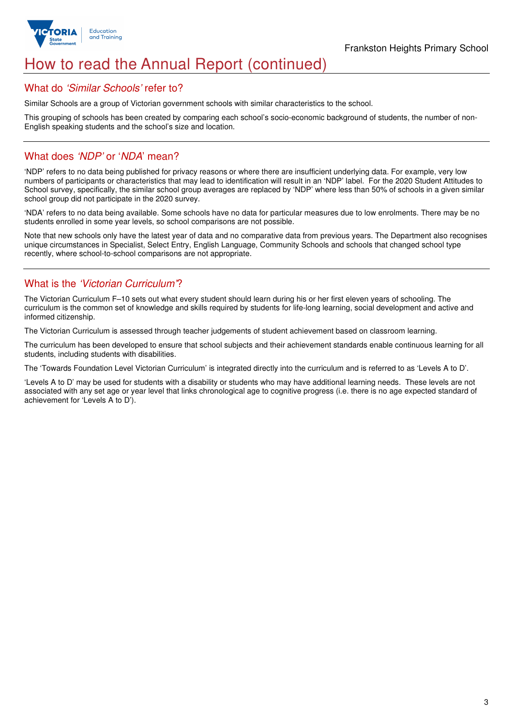

## How to read the Annual Report (continued)

## What do 'Similar Schools' refer to?

Similar Schools are a group of Victorian government schools with similar characteristics to the school.

This grouping of schools has been created by comparing each school's socio-economic background of students, the number of non-English speaking students and the school's size and location.

## What does 'NDP' or 'NDA' mean?

'NDP' refers to no data being published for privacy reasons or where there are insufficient underlying data. For example, very low numbers of participants or characteristics that may lead to identification will result in an 'NDP' label. For the 2020 Student Attitudes to School survey, specifically, the similar school group averages are replaced by 'NDP' where less than 50% of schools in a given similar school group did not participate in the 2020 survey.

'NDA' refers to no data being available. Some schools have no data for particular measures due to low enrolments. There may be no students enrolled in some year levels, so school comparisons are not possible.

Note that new schools only have the latest year of data and no comparative data from previous years. The Department also recognises unique circumstances in Specialist, Select Entry, English Language, Community Schools and schools that changed school type recently, where school-to-school comparisons are not appropriate.

## What is the 'Victorian Curriculum'?

The Victorian Curriculum F–10 sets out what every student should learn during his or her first eleven years of schooling. The curriculum is the common set of knowledge and skills required by students for life-long learning, social development and active and informed citizenship.

The Victorian Curriculum is assessed through teacher judgements of student achievement based on classroom learning.

The curriculum has been developed to ensure that school subjects and their achievement standards enable continuous learning for all students, including students with disabilities.

The 'Towards Foundation Level Victorian Curriculum' is integrated directly into the curriculum and is referred to as 'Levels A to D'.

'Levels A to D' may be used for students with a disability or students who may have additional learning needs. These levels are not associated with any set age or year level that links chronological age to cognitive progress (i.e. there is no age expected standard of achievement for 'Levels A to D').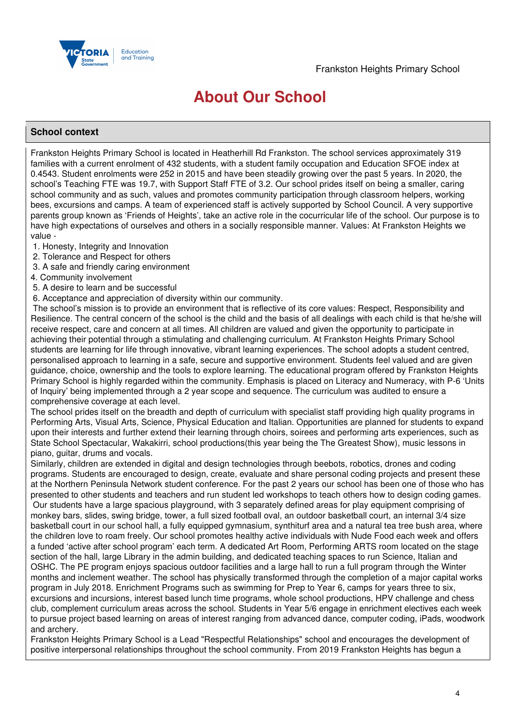

## **About Our School**

### **School context**

Frankston Heights Primary School is located in Heatherhill Rd Frankston. The school services approximately 319 families with a current enrolment of 432 students, with a student family occupation and Education SFOE index at 0.4543. Student enrolments were 252 in 2015 and have been steadily growing over the past 5 years. In 2020, the school's Teaching FTE was 19.7, with Support Staff FTE of 3.2. Our school prides itself on being a smaller, caring school community and as such, values and promotes community participation through classroom helpers, working bees, excursions and camps. A team of experienced staff is actively supported by School Council. A very supportive parents group known as 'Friends of Heights', take an active role in the cocurricular life of the school. Our purpose is to have high expectations of ourselves and others in a socially responsible manner. Values: At Frankston Heights we value -

- 1. Honesty, Integrity and Innovation
- 2. Tolerance and Respect for others
- 3. A safe and friendly caring environment
- 4. Community involvement
- 5. A desire to learn and be successful
- 6. Acceptance and appreciation of diversity within our community.

 The school's mission is to provide an environment that is reflective of its core values: Respect, Responsibility and Resilience. The central concern of the school is the child and the basis of all dealings with each child is that he/she will receive respect, care and concern at all times. All children are valued and given the opportunity to participate in achieving their potential through a stimulating and challenging curriculum. At Frankston Heights Primary School students are learning for life through innovative, vibrant learning experiences. The school adopts a student centred, personalised approach to learning in a safe, secure and supportive environment. Students feel valued and are given guidance, choice, ownership and the tools to explore learning. The educational program offered by Frankston Heights Primary School is highly regarded within the community. Emphasis is placed on Literacy and Numeracy, with P-6 'Units of Inquiry' being implemented through a 2 year scope and sequence. The curriculum was audited to ensure a comprehensive coverage at each level.

The school prides itself on the breadth and depth of curriculum with specialist staff providing high quality programs in Performing Arts, Visual Arts, Science, Physical Education and Italian. Opportunities are planned for students to expand upon their interests and further extend their learning through choirs, soirees and performing arts experiences, such as State School Spectacular, Wakakirri, school productions(this year being the The Greatest Show), music lessons in piano, guitar, drums and vocals.

Similarly, children are extended in digital and design technologies through beebots, robotics, drones and coding programs. Students are encouraged to design, create, evaluate and share personal coding projects and present these at the Northern Peninsula Network student conference. For the past 2 years our school has been one of those who has presented to other students and teachers and run student led workshops to teach others how to design coding games. Our students have a large spacious playground, with 3 separately defined areas for play equipment comprising of monkey bars, slides, swing bridge, tower, a full sized football oval, an outdoor basketball court, an internal 3/4 size basketball court in our school hall, a fully equipped gymnasium, synthiturf area and a natural tea tree bush area, where the children love to roam freely. Our school promotes healthy active individuals with Nude Food each week and offers a funded 'active after school program' each term. A dedicated Art Room, Performing ARTS room located on the stage section of the hall, large Library in the admin building, and dedicated teaching spaces to run Science, Italian and OSHC. The PE program enjoys spacious outdoor facilities and a large hall to run a full program through the Winter months and inclement weather. The school has physically transformed through the completion of a major capital works program in July 2018. Enrichment Programs such as swimming for Prep to Year 6, camps for years three to six, excursions and incursions, interest based lunch time programs, whole school productions, HPV challenge and chess club, complement curriculum areas across the school. Students in Year 5/6 engage in enrichment electives each week to pursue project based learning on areas of interest ranging from advanced dance, computer coding, iPads, woodwork and archery.

Frankston Heights Primary School is a Lead "Respectful Relationships" school and encourages the development of positive interpersonal relationships throughout the school community. From 2019 Frankston Heights has begun a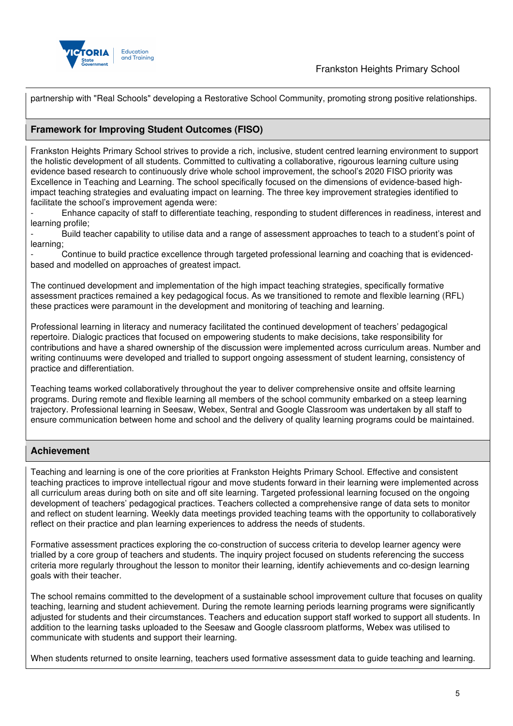

partnership with "Real Schools" developing a Restorative School Community, promoting strong positive relationships.

## **Framework for Improving Student Outcomes (FISO)**

Frankston Heights Primary School strives to provide a rich, inclusive, student centred learning environment to support the holistic development of all students. Committed to cultivating a collaborative, rigourous learning culture using evidence based research to continuously drive whole school improvement, the school's 2020 FISO priority was Excellence in Teaching and Learning. The school specifically focused on the dimensions of evidence-based highimpact teaching strategies and evaluating impact on learning. The three key improvement strategies identified to facilitate the school's improvement agenda were:

- Enhance capacity of staff to differentiate teaching, responding to student differences in readiness, interest and learning profile;

- Build teacher capability to utilise data and a range of assessment approaches to teach to a student's point of learning;

- Continue to build practice excellence through targeted professional learning and coaching that is evidencedbased and modelled on approaches of greatest impact.

The continued development and implementation of the high impact teaching strategies, specifically formative assessment practices remained a key pedagogical focus. As we transitioned to remote and flexible learning (RFL) these practices were paramount in the development and monitoring of teaching and learning.

Professional learning in literacy and numeracy facilitated the continued development of teachers' pedagogical repertoire. Dialogic practices that focused on empowering students to make decisions, take responsibility for contributions and have a shared ownership of the discussion were implemented across curriculum areas. Number and writing continuums were developed and trialled to support ongoing assessment of student learning, consistency of practice and differentiation.

Teaching teams worked collaboratively throughout the year to deliver comprehensive onsite and offsite learning programs. During remote and flexible learning all members of the school community embarked on a steep learning trajectory. Professional learning in Seesaw, Webex, Sentral and Google Classroom was undertaken by all staff to ensure communication between home and school and the delivery of quality learning programs could be maintained.

## **Achievement**

Teaching and learning is one of the core priorities at Frankston Heights Primary School. Effective and consistent teaching practices to improve intellectual rigour and move students forward in their learning were implemented across all curriculum areas during both on site and off site learning. Targeted professional learning focused on the ongoing development of teachers' pedagogical practices. Teachers collected a comprehensive range of data sets to monitor and reflect on student learning. Weekly data meetings provided teaching teams with the opportunity to collaboratively reflect on their practice and plan learning experiences to address the needs of students.

Formative assessment practices exploring the co-construction of success criteria to develop learner agency were trialled by a core group of teachers and students. The inquiry project focused on students referencing the success criteria more regularly throughout the lesson to monitor their learning, identify achievements and co-design learning goals with their teacher.

The school remains committed to the development of a sustainable school improvement culture that focuses on quality teaching, learning and student achievement. During the remote learning periods learning programs were significantly adjusted for students and their circumstances. Teachers and education support staff worked to support all students. In addition to the learning tasks uploaded to the Seesaw and Google classroom platforms, Webex was utilised to communicate with students and support their learning.

When students returned to onsite learning, teachers used formative assessment data to guide teaching and learning.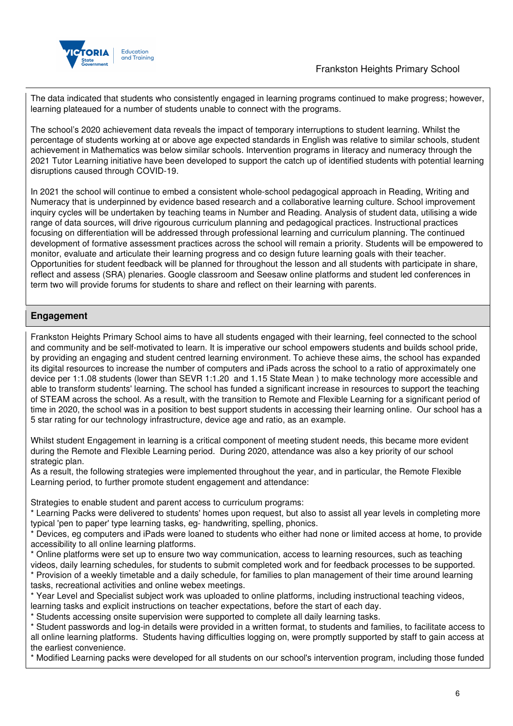

## Frankston Heights Primary School

The data indicated that students who consistently engaged in learning programs continued to make progress; however, learning plateaued for a number of students unable to connect with the programs.

The school's 2020 achievement data reveals the impact of temporary interruptions to student learning. Whilst the percentage of students working at or above age expected standards in English was relative to similar schools, student achievement in Mathematics was below similar schools. Intervention programs in literacy and numeracy through the 2021 Tutor Learning initiative have been developed to support the catch up of identified students with potential learning disruptions caused through COVID-19.

In 2021 the school will continue to embed a consistent whole-school pedagogical approach in Reading, Writing and Numeracy that is underpinned by evidence based research and a collaborative learning culture. School improvement inquiry cycles will be undertaken by teaching teams in Number and Reading. Analysis of student data, utilising a wide range of data sources, will drive rigourous curriculum planning and pedagogical practices. Instructional practices focusing on differentiation will be addressed through professional learning and curriculum planning. The continued development of formative assessment practices across the school will remain a priority. Students will be empowered to monitor, evaluate and articulate their learning progress and co design future learning goals with their teacher. Opportunities for student feedback will be planned for throughout the lesson and all students with participate in share, reflect and assess (SRA) plenaries. Google classroom and Seesaw online platforms and student led conferences in term two will provide forums for students to share and reflect on their learning with parents.

## **Engagement**

Frankston Heights Primary School aims to have all students engaged with their learning, feel connected to the school and community and be self-motivated to learn. It is imperative our school empowers students and builds school pride, by providing an engaging and student centred learning environment. To achieve these aims, the school has expanded its digital resources to increase the number of computers and iPads across the school to a ratio of approximately one device per 1:1.08 students (lower than SEVR 1:1.20 and 1.15 State Mean ) to make technology more accessible and able to transform students' learning. The school has funded a significant increase in resources to support the teaching of STEAM across the school. As a result, with the transition to Remote and Flexible Learning for a significant period of time in 2020, the school was in a position to best support students in accessing their learning online. Our school has a 5 star rating for our technology infrastructure, device age and ratio, as an example.

Whilst student Engagement in learning is a critical component of meeting student needs, this became more evident during the Remote and Flexible Learning period. During 2020, attendance was also a key priority of our school strategic plan.

As a result, the following strategies were implemented throughout the year, and in particular, the Remote Flexible Learning period, to further promote student engagement and attendance:

Strategies to enable student and parent access to curriculum programs:

\* Learning Packs were delivered to students' homes upon request, but also to assist all year levels in completing more typical 'pen to paper' type learning tasks, eg- handwriting, spelling, phonics.

\* Devices, eg computers and iPads were loaned to students who either had none or limited access at home, to provide accessibility to all online learning platforms.

- \* Online platforms were set up to ensure two way communication, access to learning resources, such as teaching videos, daily learning schedules, for students to submit completed work and for feedback processes to be supported. \* Provision of a weekly timetable and a daily schedule, for families to plan management of their time around learning tasks, recreational activities and online webex meetings.
- \* Year Level and Specialist subject work was uploaded to online platforms, including instructional teaching videos, learning tasks and explicit instructions on teacher expectations, before the start of each day.

\* Students accessing onsite supervision were supported to complete all daily learning tasks.

\* Student passwords and log-in details were provided in a written format, to students and families, to facilitate access to all online learning platforms. Students having difficulties logging on, were promptly supported by staff to gain access at the earliest convenience.

\* Modified Learning packs were developed for all students on our school's intervention program, including those funded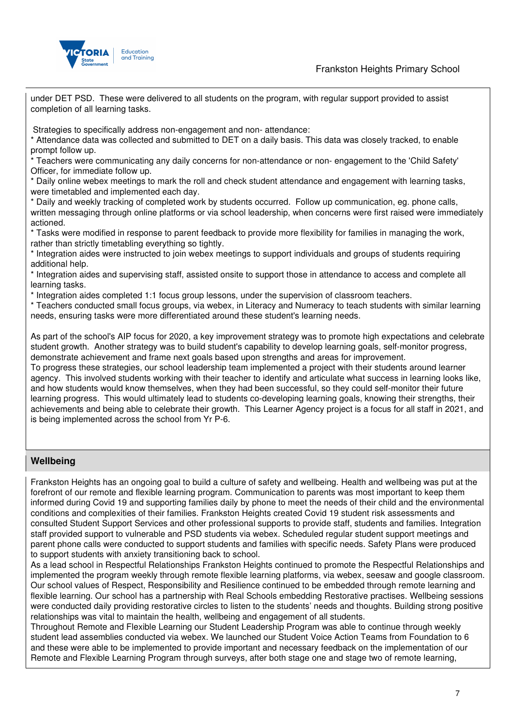

Frankston Heights Primary School

under DET PSD. These were delivered to all students on the program, with regular support provided to assist completion of all learning tasks.

Strategies to specifically address non-engagement and non- attendance:

\* Attendance data was collected and submitted to DET on a daily basis. This data was closely tracked, to enable prompt follow up.

\* Teachers were communicating any daily concerns for non-attendance or non- engagement to the 'Child Safety' Officer, for immediate follow up.

\* Daily online webex meetings to mark the roll and check student attendance and engagement with learning tasks, were timetabled and implemented each day.

\* Daily and weekly tracking of completed work by students occurred. Follow up communication, eg. phone calls, written messaging through online platforms or via school leadership, when concerns were first raised were immediately actioned.

\* Tasks were modified in response to parent feedback to provide more flexibility for families in managing the work, rather than strictly timetabling everything so tightly.

\* Integration aides were instructed to join webex meetings to support individuals and groups of students requiring additional help.

\* Integration aides and supervising staff, assisted onsite to support those in attendance to access and complete all learning tasks.

\* Integration aides completed 1:1 focus group lessons, under the supervision of classroom teachers.

\* Teachers conducted small focus groups, via webex, in Literacy and Numeracy to teach students with similar learning needs, ensuring tasks were more differentiated around these student's learning needs.

As part of the school's AIP focus for 2020, a key improvement strategy was to promote high expectations and celebrate student growth. Another strategy was to build student's capability to develop learning goals, self-monitor progress, demonstrate achievement and frame next goals based upon strengths and areas for improvement.

To progress these strategies, our school leadership team implemented a project with their students around learner agency. This involved students working with their teacher to identify and articulate what success in learning looks like, and how students would know themselves, when they had been successful, so they could self-monitor their future learning progress. This would ultimately lead to students co-developing learning goals, knowing their strengths, their achievements and being able to celebrate their growth. This Learner Agency project is a focus for all staff in 2021, and is being implemented across the school from Yr P-6.

### **Wellbeing**

Frankston Heights has an ongoing goal to build a culture of safety and wellbeing. Health and wellbeing was put at the forefront of our remote and flexible learning program. Communication to parents was most important to keep them informed during Covid 19 and supporting families daily by phone to meet the needs of their child and the environmental conditions and complexities of their families. Frankston Heights created Covid 19 student risk assessments and consulted Student Support Services and other professional supports to provide staff, students and families. Integration staff provided support to vulnerable and PSD students via webex. Scheduled regular student support meetings and parent phone calls were conducted to support students and families with specific needs. Safety Plans were produced to support students with anxiety transitioning back to school.

As a lead school in Respectful Relationships Frankston Heights continued to promote the Respectful Relationships and implemented the program weekly through remote flexible learning platforms, via webex, seesaw and google classroom. Our school values of Respect, Responsibility and Resilience continued to be embedded through remote learning and flexible learning. Our school has a partnership with Real Schools embedding Restorative practises. Wellbeing sessions were conducted daily providing restorative circles to listen to the students' needs and thoughts. Building strong positive relationships was vital to maintain the health, wellbeing and engagement of all students.

Throughout Remote and Flexible Learning our Student Leadership Program was able to continue through weekly student lead assemblies conducted via webex. We launched our Student Voice Action Teams from Foundation to 6 and these were able to be implemented to provide important and necessary feedback on the implementation of our Remote and Flexible Learning Program through surveys, after both stage one and stage two of remote learning,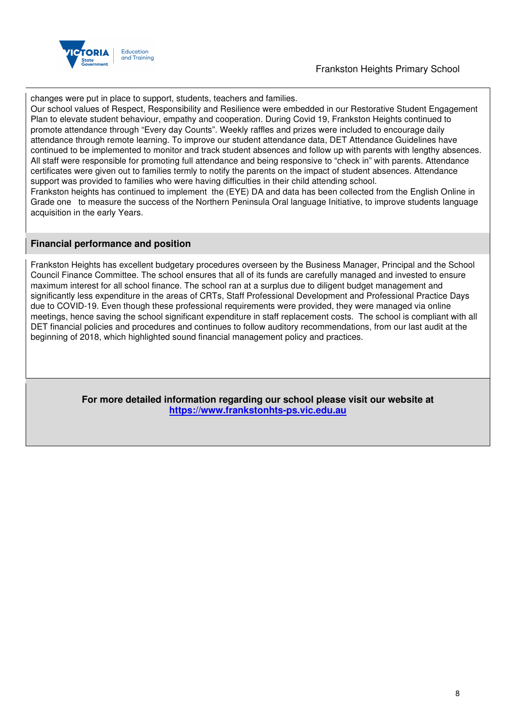

## Frankston Heights Primary School

changes were put in place to support, students, teachers and families.

Our school values of Respect, Responsibility and Resilience were embedded in our Restorative Student Engagement Plan to elevate student behaviour, empathy and cooperation. During Covid 19, Frankston Heights continued to promote attendance through "Every day Counts". Weekly raffles and prizes were included to encourage daily attendance through remote learning. To improve our student attendance data, DET Attendance Guidelines have continued to be implemented to monitor and track student absences and follow up with parents with lengthy absences. All staff were responsible for promoting full attendance and being responsive to "check in" with parents. Attendance certificates were given out to families termly to notify the parents on the impact of student absences. Attendance support was provided to families who were having difficulties in their child attending school. Frankston heights has continued to implement the (EYE) DA and data has been collected from the English Online in

Grade one to measure the success of the Northern Peninsula Oral language Initiative, to improve students language acquisition in the early Years.

### **Financial performance and position**

Frankston Heights has excellent budgetary procedures overseen by the Business Manager, Principal and the School Council Finance Committee. The school ensures that all of its funds are carefully managed and invested to ensure maximum interest for all school finance. The school ran at a surplus due to diligent budget management and significantly less expenditure in the areas of CRTs, Staff Professional Development and Professional Practice Days due to COVID-19. Even though these professional requirements were provided, they were managed via online meetings, hence saving the school significant expenditure in staff replacement costs. The school is compliant with all DET financial policies and procedures and continues to follow auditory recommendations, from our last audit at the beginning of 2018, which highlighted sound financial management policy and practices.

> **For more detailed information regarding our school please visit our website at https://www.frankstonhts-ps.vic.edu.au**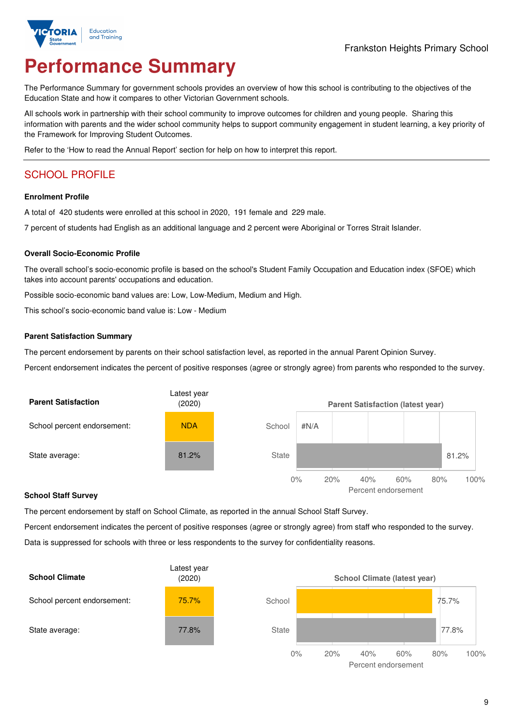

# **Performance Summary**

The Performance Summary for government schools provides an overview of how this school is contributing to the objectives of the Education State and how it compares to other Victorian Government schools.

All schools work in partnership with their school community to improve outcomes for children and young people. Sharing this information with parents and the wider school community helps to support community engagement in student learning, a key priority of the Framework for Improving Student Outcomes.

Refer to the 'How to read the Annual Report' section for help on how to interpret this report.

## SCHOOL PROFILE

#### **Enrolment Profile**

A total of 420 students were enrolled at this school in 2020, 191 female and 229 male.

7 percent of students had English as an additional language and 2 percent were Aboriginal or Torres Strait Islander.

### **Overall Socio-Economic Profile**

The overall school's socio-economic profile is based on the school's Student Family Occupation and Education index (SFOE) which takes into account parents' occupations and education.

Possible socio-economic band values are: Low, Low-Medium, Medium and High.

This school's socio-economic band value is: Low - Medium

#### **Parent Satisfaction Summary**

The percent endorsement by parents on their school satisfaction level, as reported in the annual Parent Opinion Survey.

Percent endorsement indicates the percent of positive responses (agree or strongly agree) from parents who responded to the survey.



#### **School Staff Survey**

The percent endorsement by staff on School Climate, as reported in the annual School Staff Survey.

Percent endorsement indicates the percent of positive responses (agree or strongly agree) from staff who responded to the survey. Data is suppressed for schools with three or less respondents to the survey for confidentiality reasons.



Percent endorsement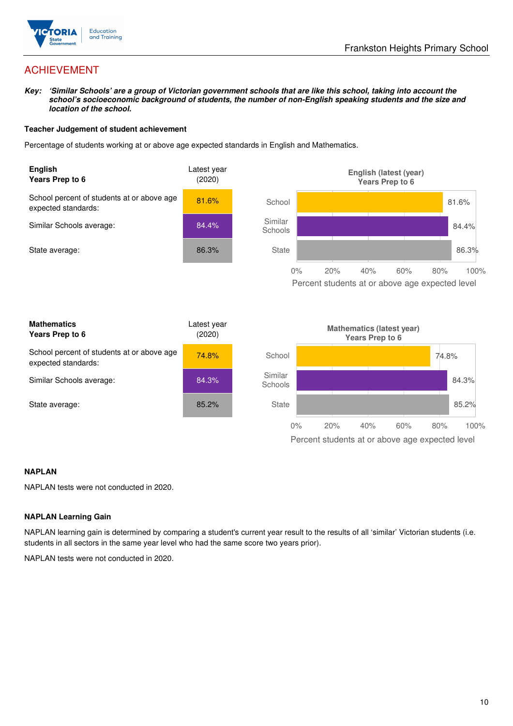

## ACHIEVEMENT

**Key: 'Similar Schools' are a group of Victorian government schools that are like this school, taking into account the school's socioeconomic background of students, the number of non-English speaking students and the size and location of the school.** 

#### **Teacher Judgement of student achievement**

Percentage of students working at or above age expected standards in English and Mathematics.



#### **NAPLAN**

NAPLAN tests were not conducted in 2020.

#### **NAPLAN Learning Gain**

NAPLAN learning gain is determined by comparing a student's current year result to the results of all 'similar' Victorian students (i.e. students in all sectors in the same year level who had the same score two years prior).

NAPLAN tests were not conducted in 2020.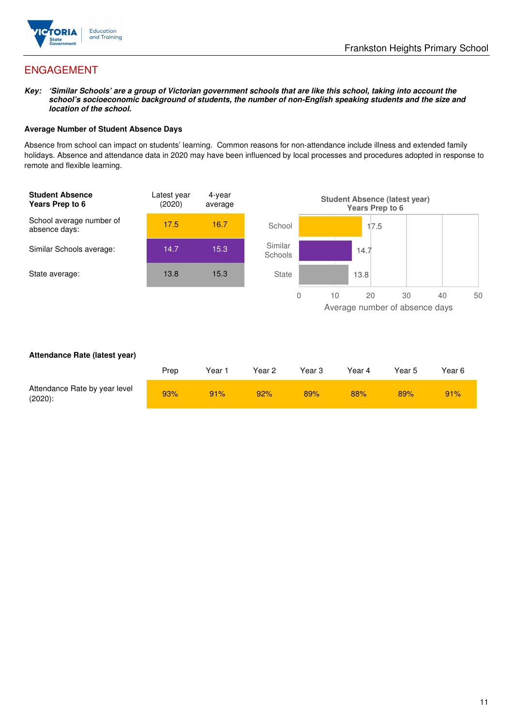

## ENGAGEMENT

**Key: 'Similar Schools' are a group of Victorian government schools that are like this school, taking into account the school's socioeconomic background of students, the number of non-English speaking students and the size and location of the school.** 

#### **Average Number of Student Absence Days**

Absence from school can impact on students' learning. Common reasons for non-attendance include illness and extended family holidays. Absence and attendance data in 2020 may have been influenced by local processes and procedures adopted in response to remote and flexible learning.



#### **Attendance Rate (latest year)**

|                                             | Prep | Year | Year <sub>2</sub> | Year 3 | Year 4 | Year 5 | Year 6 |
|---------------------------------------------|------|------|-------------------|--------|--------|--------|--------|
| Attendance Rate by year level<br>$(2020)$ : | 93%  | 91%  | 92%               | 89%    | 88%    | 89%    | 91%    |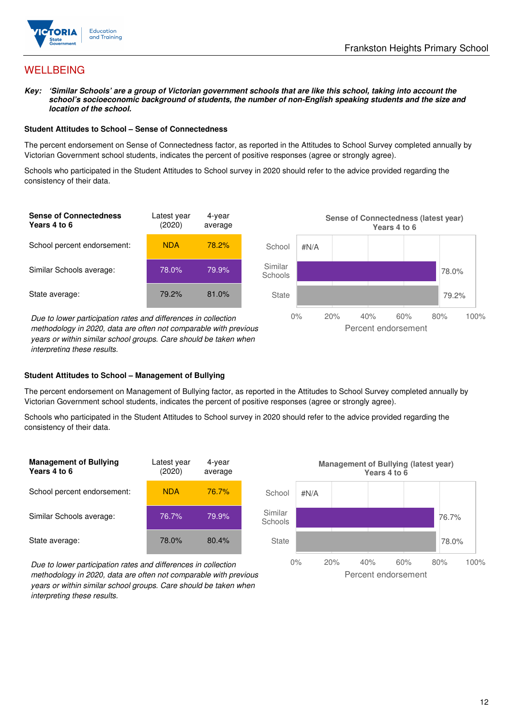

## **WELLBEING**

**Key: 'Similar Schools' are a group of Victorian government schools that are like this school, taking into account the school's socioeconomic background of students, the number of non-English speaking students and the size and location of the school.** 

#### **Student Attitudes to School – Sense of Connectedness**

The percent endorsement on Sense of Connectedness factor, as reported in the Attitudes to School Survey completed annually by Victorian Government school students, indicates the percent of positive responses (agree or strongly agree).

Schools who participated in the Student Attitudes to School survey in 2020 should refer to the advice provided regarding the consistency of their data.



methodology in 2020, data are often not comparable with previous years or within similar school groups. Care should be taken when interpreting these results.

#### **Student Attitudes to School – Management of Bullying**

The percent endorsement on Management of Bullying factor, as reported in the Attitudes to School Survey completed annually by Victorian Government school students, indicates the percent of positive responses (agree or strongly agree).

Schools who participated in the Student Attitudes to School survey in 2020 should refer to the advice provided regarding the consistency of their data.



Due to lower participation rates and differences in collection methodology in 2020, data are often not comparable with previous years or within similar school groups. Care should be taken when interpreting these results.

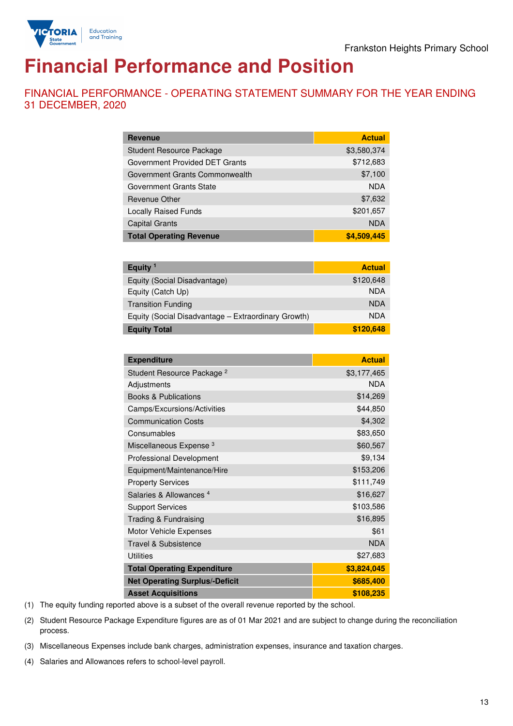

# **Financial Performance and Position**

FINANCIAL PERFORMANCE - OPERATING STATEMENT SUMMARY FOR THE YEAR ENDING 31 DECEMBER, 2020

| <b>Revenue</b>                  | <b>Actual</b> |
|---------------------------------|---------------|
| <b>Student Resource Package</b> | \$3,580,374   |
| Government Provided DET Grants  | \$712,683     |
| Government Grants Commonwealth  | \$7,100       |
| Government Grants State         | <b>NDA</b>    |
| <b>Revenue Other</b>            | \$7,632       |
| <b>Locally Raised Funds</b>     | \$201,657     |
| <b>Capital Grants</b>           | <b>NDA</b>    |
| <b>Total Operating Revenue</b>  | \$4,509,445   |

| Equity $1$                                          | <b>Actual</b> |
|-----------------------------------------------------|---------------|
| Equity (Social Disadvantage)                        | \$120,648     |
| Equity (Catch Up)                                   | <b>NDA</b>    |
| <b>Transition Funding</b>                           | <b>NDA</b>    |
| Equity (Social Disadvantage - Extraordinary Growth) | <b>NDA</b>    |
| <b>Equity Total</b>                                 | \$120,648     |

| <b>Expenditure</b>                    | <b>Actual</b> |
|---------------------------------------|---------------|
| Student Resource Package <sup>2</sup> | \$3,177,465   |
| Adjustments                           | <b>NDA</b>    |
| <b>Books &amp; Publications</b>       | \$14,269      |
| Camps/Excursions/Activities           | \$44,850      |
| <b>Communication Costs</b>            | \$4,302       |
| Consumables                           | \$83,650      |
| Miscellaneous Expense <sup>3</sup>    | \$60,567      |
| <b>Professional Development</b>       | \$9,134       |
| Equipment/Maintenance/Hire            | \$153,206     |
| <b>Property Services</b>              | \$111,749     |
| Salaries & Allowances <sup>4</sup>    | \$16,627      |
| <b>Support Services</b>               | \$103,586     |
| Trading & Fundraising                 | \$16,895      |
| Motor Vehicle Expenses                | \$61          |
| <b>Travel &amp; Subsistence</b>       | <b>NDA</b>    |
| <b>Utilities</b>                      | \$27,683      |
| <b>Total Operating Expenditure</b>    | \$3,824,045   |
| <b>Net Operating Surplus/-Deficit</b> | \$685,400     |
| <b>Asset Acquisitions</b>             | \$108,235     |

(1) The equity funding reported above is a subset of the overall revenue reported by the school.

(2) Student Resource Package Expenditure figures are as of 01 Mar 2021 and are subject to change during the reconciliation process.

(3) Miscellaneous Expenses include bank charges, administration expenses, insurance and taxation charges.

(4) Salaries and Allowances refers to school-level payroll.